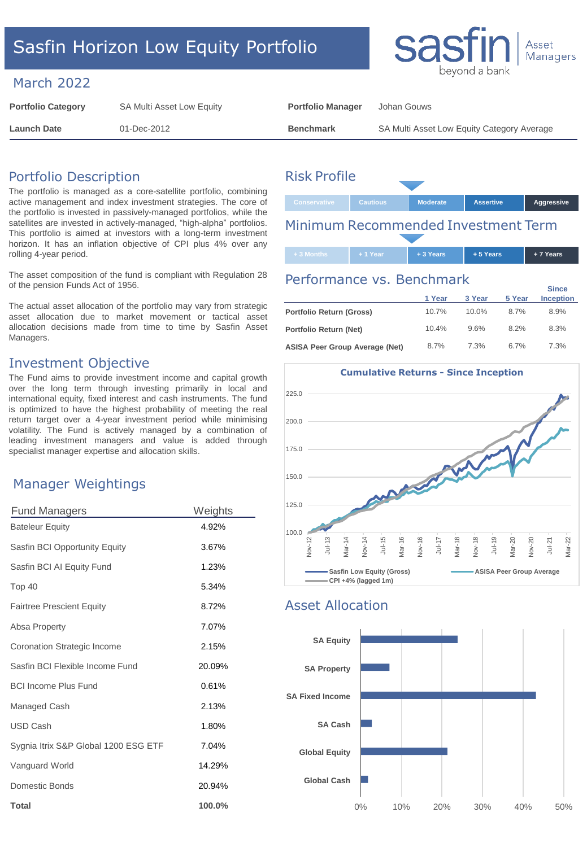# Sasfin Horizon Low Equity Portfolio

### March 2022

| <b>Portfolio Category</b> | SA Multi Asset Low Equity | <b>Portfolio Manager</b> | Johan Gouws                                |
|---------------------------|---------------------------|--------------------------|--------------------------------------------|
| <b>Launch Date</b>        | 01-Dec-2012               | <b>Benchmark</b>         | SA Multi Asset Low Equity Category Average |

# Portfolio Description

The portfolio is managed as a core-satellite portfolio, combining active management and index investment strategies. The core of the portfolio is invested in passively-managed portfolios, while the satellites are invested in actively-managed, "high-alpha" portfolios. This portfolio is aimed at investors with a long-term investment horizon. It has an inflation objective of CPI plus 4% over any rolling 4-year period.

The asset composition of the fund is compliant with Regulation 28 of the pension Funds Act of 1956.

The actual asset allocation of the portfolio may vary from strategic asset allocation due to market movement or tactical asset allocation decisions made from time to time by Sasfin Asset Managers.

## Investment Objective

The Fund aims to provide investment income and capital growth over the long term through investing primarily in local and international equity, fixed interest and cash instruments. The fund is optimized to have the highest probability of meeting the real return target over a 4-year investment period while minimising volatility. The Fund is actively managed by a combination of leading investment managers and value is added through specialist manager expertise and allocation skills.

# Manager Weightings

| <b>Fund Managers</b>                 | Weights |
|--------------------------------------|---------|
| <b>Bateleur Equity</b>               | 4.92%   |
| Sasfin BCI Opportunity Equity        | 3.67%   |
| Sasfin BCI AI Equity Fund            | 1.23%   |
| Top 40                               | 5.34%   |
| <b>Fairtree Prescient Equity</b>     | 8.72%   |
| Absa Property                        | 7.07%   |
| <b>Coronation Strategic Income</b>   | 2.15%   |
| Sasfin BCI Flexible Income Fund      | 20.09%  |
| <b>BCI Income Plus Fund</b>          | 0.61%   |
| Managed Cash                         | 2.13%   |
| USD Cash                             | 1.80%   |
| Sygnia Itrix S&P Global 1200 ESG ETF | 7.04%   |
| Vanguard World                       | 14.29%  |
| Domestic Bonds                       | 20.94%  |
| <b>Total</b>                         | 100.0%  |

# Risk Profile



# Performance vs. Benchmark

|                                       | 1 Year | 3 Year   | 5 Year | <b>Since</b><br><b>Inception</b> |
|---------------------------------------|--------|----------|--------|----------------------------------|
| Portfolio Return (Gross)              | 10.7%  | $10.0\%$ | 8.7%   | 8.9%                             |
| Portfolio Return (Net)                | 10.4%  | 9.6%     | 8.2%   | 8.3%                             |
| <b>ASISA Peer Group Average (Net)</b> | 8.7%   | 7.3%     | 6.7%   | 7.3%                             |



### Asset Allocation





**+ 3 Months + 1 Year + 3 Years + 5 Years + 7 Years**